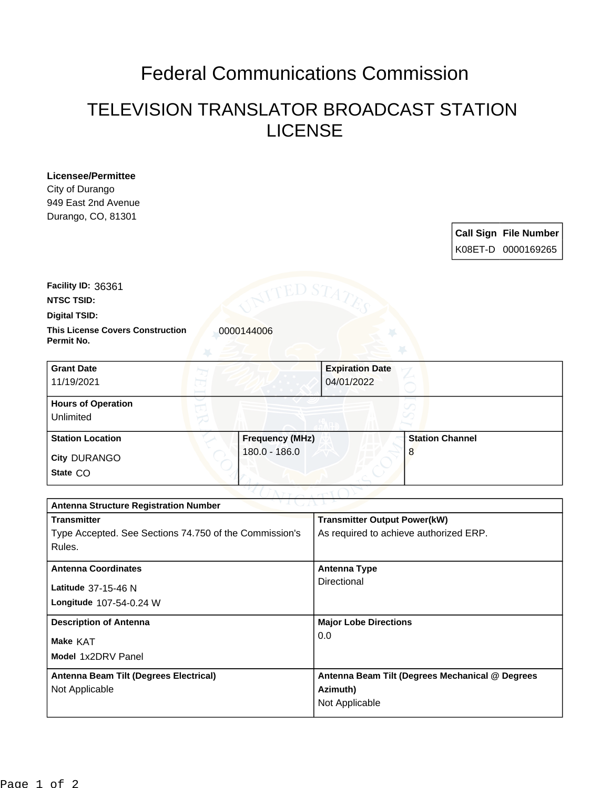## Federal Communications Commission

## TELEVISION TRANSLATOR BROADCAST STATION LICENSE

**Licensee/Permittee** City of Durango 949 East 2nd Avenue Durango, CO, 81301

|  | Call Sign File Number |
|--|-----------------------|
|  | K08ET-D 0000169265    |

**Facility ID:** 36361

**NTSC TSID:**

**Digital TSID:**

**This License Covers Construction 10000144006 Permit No.**

| <b>Grant Date</b><br>11/19/2021        | <b>Expiration Date</b><br>04/01/2022 |                        |
|----------------------------------------|--------------------------------------|------------------------|
| <b>Hours of Operation</b><br>Unlimited |                                      |                        |
| <b>Station Location</b>                | <b>Frequency (MHz)</b>               | <b>Station Channel</b> |
| <b>City DURANGO</b><br>State CO        | $180.0 - 186.0$                      | 8                      |

| $\sim$ v $\perp$ ( $\perp$ $\sim$ $\perp$ $\ge$<br><b>Antenna Structure Registration Number</b> |                                                 |
|-------------------------------------------------------------------------------------------------|-------------------------------------------------|
| <b>Transmitter</b>                                                                              | <b>Transmitter Output Power(kW)</b>             |
| Type Accepted. See Sections 74.750 of the Commission's                                          | As required to achieve authorized ERP.          |
| Rules.                                                                                          |                                                 |
| <b>Antenna Coordinates</b>                                                                      | <b>Antenna Type</b>                             |
| Latitude 37-15-46 N                                                                             | Directional                                     |
| Longitude 107-54-0.24 W                                                                         |                                                 |
| <b>Description of Antenna</b>                                                                   | <b>Major Lobe Directions</b>                    |
| <b>Make KAT</b>                                                                                 | 0.0                                             |
| Model 1x2DRV Panel                                                                              |                                                 |
| Antenna Beam Tilt (Degrees Electrical)                                                          | Antenna Beam Tilt (Degrees Mechanical @ Degrees |
| Not Applicable                                                                                  | Azimuth)                                        |
|                                                                                                 | Not Applicable                                  |